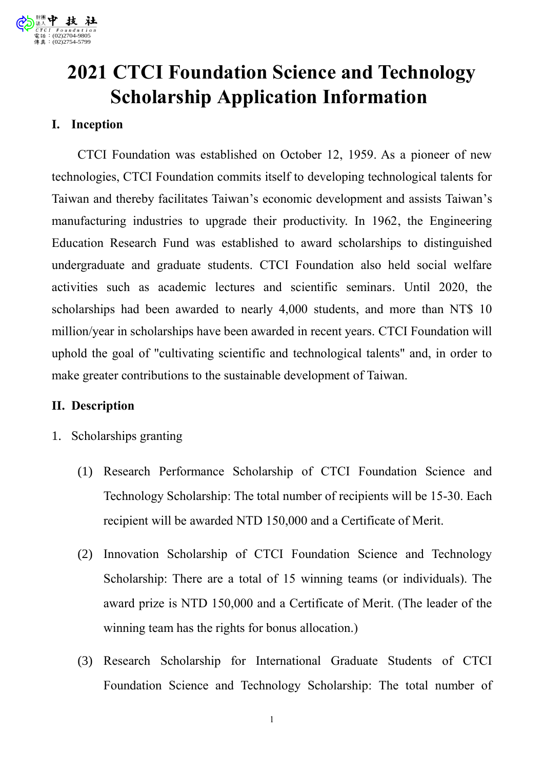# **2021 CTCI Foundation Science and Technology Scholarship Application Information**

## **I. Inception**

CTCI Foundation was established on October 12, 1959. As a pioneer of new technologies, CTCI Foundation commits itself to developing technological talents for Taiwan and thereby facilitates Taiwan's economic development and assists Taiwan's manufacturing industries to upgrade their productivity. In 1962, the Engineering Education Research Fund was established to award scholarships to distinguished undergraduate and graduate students. CTCI Foundation also held social welfare activities such as academic lectures and scientific seminars. Until 2020, the scholarships had been awarded to nearly 4,000 students, and more than NT\$ 10 million/year in scholarships have been awarded in recent years. CTCI Foundation will uphold the goal of "cultivating scientific and technological talents" and, in order to make greater contributions to the sustainable development of Taiwan.

## **II. Description**

- 1. Scholarships granting
	- (1) Research Performance Scholarship of CTCI Foundation Science and Technology Scholarship: The total number of recipients will be 15-30. Each recipient will be awarded NTD 150,000 and a Certificate of Merit.
	- (2) Innovation Scholarship of CTCI Foundation Science and Technology Scholarship: There are a total of 15 winning teams (or individuals). The award prize is NTD 150,000 and a Certificate of Merit. (The leader of the winning team has the rights for bonus allocation.)
	- (3) Research Scholarship for International Graduate Students of CTCI Foundation Science and Technology Scholarship: The total number of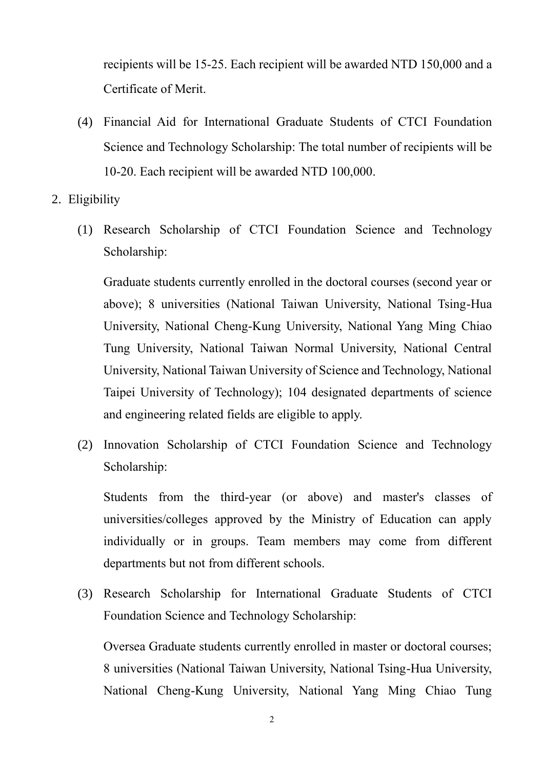recipients will be 15-25. Each recipient will be awarded NTD 150,000 and a Certificate of Merit.

- (4) Financial Aid for International Graduate Students of CTCI Foundation Science and Technology Scholarship: The total number of recipients will be 10-20. Each recipient will be awarded NTD 100,000.
- 2. Eligibility
	- (1) Research Scholarship of CTCI Foundation Science and Technology Scholarship:

Graduate students currently enrolled in the doctoral courses (second year or above); 8 universities (National Taiwan University, National Tsing-Hua University, National Cheng-Kung University, National Yang Ming Chiao Tung University, National Taiwan Normal University, National Central University, National Taiwan University of Science and Technology, National Taipei University of Technology); 104 designated departments of science and engineering related fields are eligible to apply.

(2) Innovation Scholarship of CTCI Foundation Science and Technology Scholarship:

Students from the third-year (or above) and master's classes of universities/colleges approved by the Ministry of Education can apply individually or in groups. Team members may come from different departments but not from different schools.

(3) Research Scholarship for International Graduate Students of CTCI Foundation Science and Technology Scholarship:

Oversea Graduate students currently enrolled in master or doctoral courses; 8 universities (National Taiwan University, National Tsing-Hua University, National Cheng-Kung University, National Yang Ming Chiao Tung